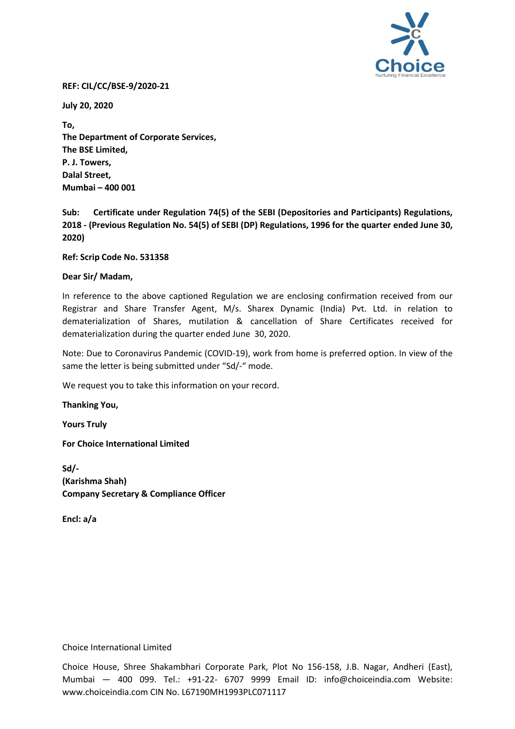

## **REF: CIL/CC/BSE-9/2020-21**

**July 20, 2020**

**To, The Department of Corporate Services, The BSE Limited, P. J. Towers, Dalal Street, Mumbai – 400 001**

**Sub: Certificate under Regulation 74(5) of the SEBI (Depositories and Participants) Regulations, 2018 - (Previous Regulation No. 54(5) of SEBI (DP) Regulations, 1996 for the quarter ended June 30, 2020)** 

**Ref: Scrip Code No. 531358**

## **Dear Sir/ Madam,**

In reference to the above captioned Regulation we are enclosing confirmation received from our Registrar and Share Transfer Agent, M/s. Sharex Dynamic (India) Pvt. Ltd. in relation to dematerialization of Shares, mutilation & cancellation of Share Certificates received for dematerialization during the quarter ended June 30, 2020.

Note: Due to Coronavirus Pandemic (COVID-19), work from home is preferred option. In view of the same the letter is being submitted under "Sd/-" mode.

We request you to take this information on your record.

**Thanking You,**

**Yours Truly** 

**For Choice International Limited** 

**Sd/- (Karishma Shah) Company Secretary & Compliance Officer**

**Encl: a/a**

Choice International Limited

Choice House, Shree Shakambhari Corporate Park, Plot No 156-158, J.B. Nagar, Andheri (East), Mumbai — 400 099. Tel.: +91-22- 6707 9999 Email ID: info@choiceindia.com Website: www.choiceindia.com CIN No. L67190MH1993PLC071117